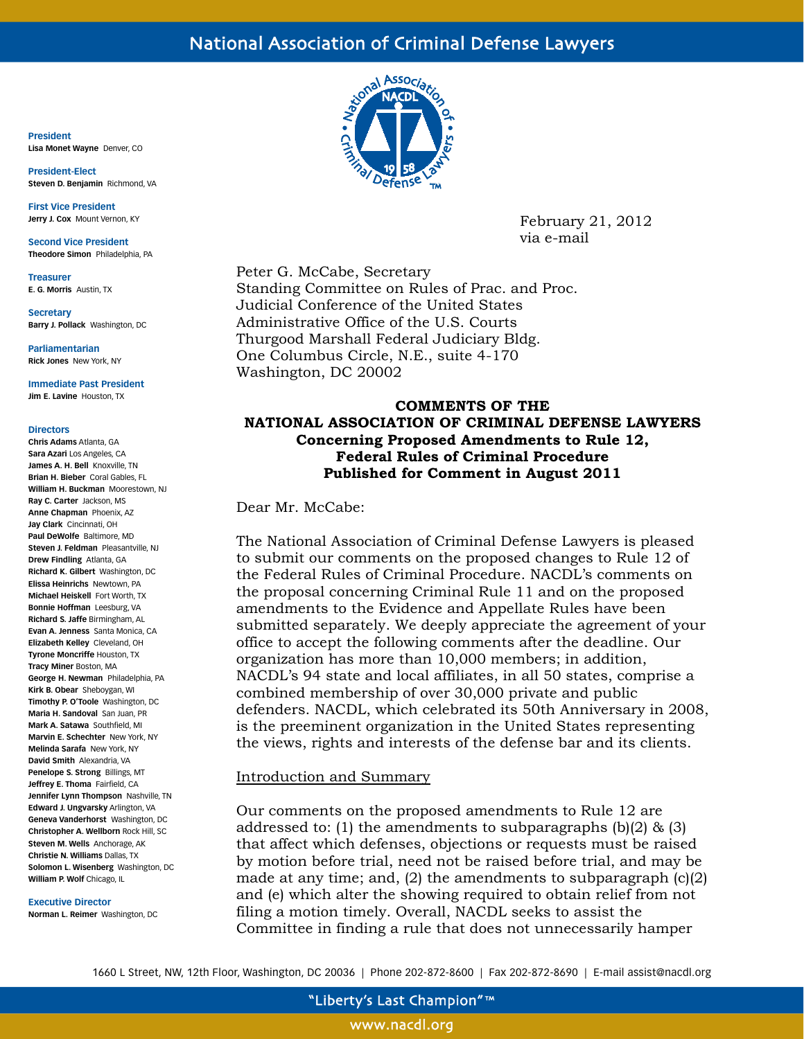# National Association of Criminal Defense Lawyers

**President Lisa Monet Wayne** Denver, CO

**President-Elect Steven D. Benjamin** Richmond, VA

**First Vice President Jerry J. Cox** Mount Vernon, KY

**Second Vice President Theodore Simon** Philadelphia, PA

**Treasurer E. G. Morris** Austin, TX

**Secretary Barry J. Pollack** Washington, DC

**Parliamentarian Rick Jones** New York, NY

**Immediate Past President Jim E. Lavine** Houston, TX

#### **Directors**

**Chris Adams** Atlanta, GA **Sara Azari** Los Angeles, CA **James A. H. Bell** Knoxville, TN **Brian H. Bieber** Coral Gables, FL **William H. Buckman** Moorestown, NJ **Ray C. Carter** Jackson, MS **Anne Chapman** Phoenix, AZ **Jay Clark** Cincinnati, OH **Paul DeWolfe** Baltimore, MD **Steven J. Feldman** Pleasantville, NJ **Drew Findling** Atlanta, GA **Richard K. Gilbert** Washington, DC **Elissa Heinrichs** Newtown, PA **Michael Heiskell** Fort Worth, TX **Bonnie Hoffman** Leesburg, VA **Richard S. Jaffe** Birmingham, AL **Evan A. Jenness** Santa Monica, CA **Elizabeth Kelley** Cleveland, OH **Tyrone Moncriffe** Houston, TX **Tracy Miner** Boston, MA **George H. Newman** Philadelphia, PA **Kirk B. Obear** Sheboygan, WI **Timothy P. O'Toole** Washington, DC **Maria H. Sandoval** San Juan, PR **Mark A. Satawa** Southfield, MI **Marvin E. Schechter** New York, NY **Melinda Sarafa** New York, NY **David Smith** Alexandria, VA **Penelope S. Strong** Billings, MT **Jeffrey E. Thoma** Fairfield, CA **Jennifer Lynn Thompson** Nashville, TN **Edward J. Ungvarsky** Arlington, VA **Geneva Vanderhorst** Washington, DC **Christopher A. Wellborn** Rock Hill, SC **Steven M. Wells** Anchorage, AK **Christie N. Williams** Dallas, TX **Solomon L. Wisenberg** Washington, DC **William P. Wolf** Chicago, IL

#### **Executive Director**

**Norman L. Reimer** Washington, DC



February 21, 2012 via e-mail

Peter G. McCabe, Secretary Standing Committee on Rules of Prac. and Proc. Judicial Conference of the United States Administrative Office of the U.S. Courts Thurgood Marshall Federal Judiciary Bldg. One Columbus Circle, N.E., suite 4-170 Washington, DC 20002

# **COMMENTS OF THE NATIONAL ASSOCIATION OF CRIMINAL DEFENSE LAWYERS Concerning Proposed Amendments to Rule 12, Federal Rules of Criminal Procedure Published for Comment in August 2011**

# Dear Mr. McCabe:

The National Association of Criminal Defense Lawyers is pleased to submit our comments on the proposed changes to Rule 12 of the Federal Rules of Criminal Procedure. NACDL's comments on the proposal concerning Criminal Rule 11 and on the proposed amendments to the Evidence and Appellate Rules have been submitted separately. We deeply appreciate the agreement of your office to accept the following comments after the deadline. Our organization has more than 10,000 members; in addition, NACDL's 94 state and local affiliates, in all 50 states, comprise a combined membership of over 30,000 private and public defenders. NACDL, which celebrated its 50th Anniversary in 2008, is the preeminent organization in the United States representing the views, rights and interests of the defense bar and its clients.

### Introduction and Summary

Our comments on the proposed amendments to Rule 12 are addressed to: (1) the amendments to subparagraphs  $(b)(2)$  & (3) that affect which defenses, objections or requests must be raised by motion before trial, need not be raised before trial, and may be made at any time; and, (2) the amendments to subparagraph (c)(2) and (e) which alter the showing required to obtain relief from not filing a motion timely. Overall, NACDL seeks to assist the Committee in finding a rule that does not unnecessarily hamper

1660 L Street, NW, 12th Floor, Washington, DC 20036 | Phone 202-872-8600 | Fax 202-872-8690 | E-mail assist@nacdl.org

www.nacdl.org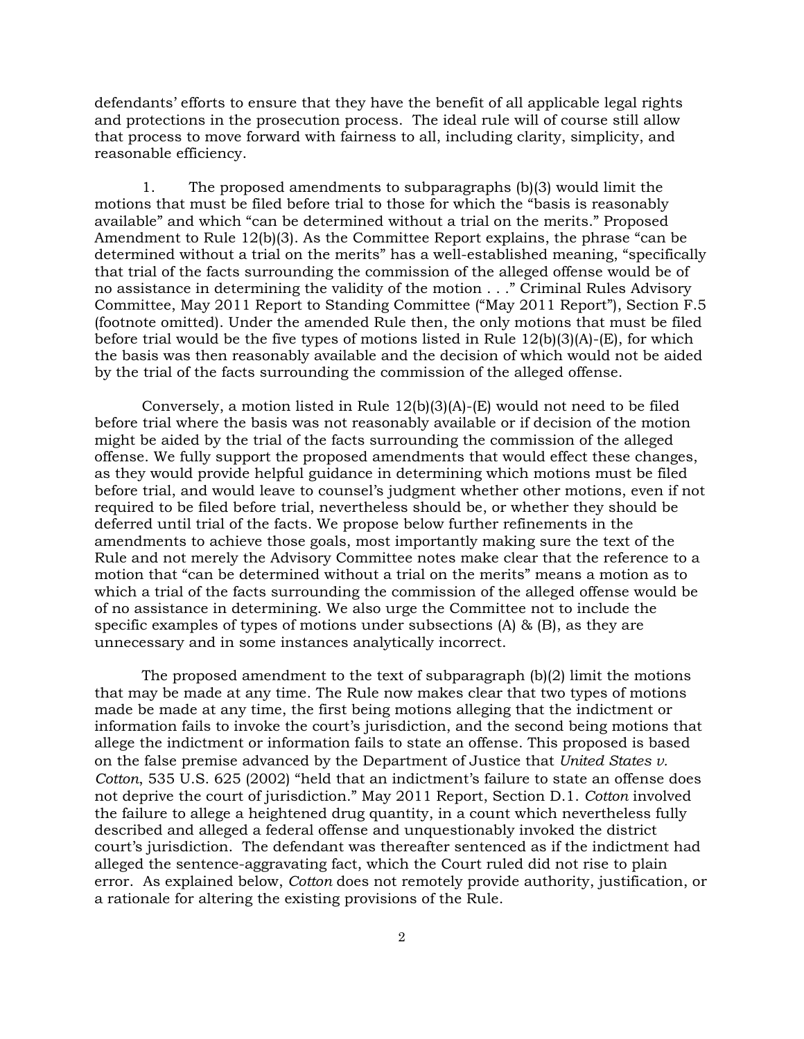defendants' efforts to ensure that they have the benefit of all applicable legal rights and protections in the prosecution process. The ideal rule will of course still allow that process to move forward with fairness to all, including clarity, simplicity, and reasonable efficiency.

1. The proposed amendments to subparagraphs (b)(3) would limit the motions that must be filed before trial to those for which the "basis is reasonably available" and which "can be determined without a trial on the merits." Proposed Amendment to Rule 12(b)(3). As the Committee Report explains, the phrase "can be determined without a trial on the merits" has a well-established meaning, "specifically that trial of the facts surrounding the commission of the alleged offense would be of no assistance in determining the validity of the motion . . ." Criminal Rules Advisory Committee, May 2011 Report to Standing Committee ("May 2011 Report"), Section F.5 (footnote omitted). Under the amended Rule then, the only motions that must be filed before trial would be the five types of motions listed in Rule 12(b)(3)(A)-(E), for which the basis was then reasonably available and the decision of which would not be aided by the trial of the facts surrounding the commission of the alleged offense.

Conversely, a motion listed in Rule 12(b)(3)(A)-(E) would not need to be filed before trial where the basis was not reasonably available or if decision of the motion might be aided by the trial of the facts surrounding the commission of the alleged offense. We fully support the proposed amendments that would effect these changes, as they would provide helpful guidance in determining which motions must be filed before trial, and would leave to counsel's judgment whether other motions, even if not required to be filed before trial, nevertheless should be, or whether they should be deferred until trial of the facts. We propose below further refinements in the amendments to achieve those goals, most importantly making sure the text of the Rule and not merely the Advisory Committee notes make clear that the reference to a motion that "can be determined without a trial on the merits" means a motion as to which a trial of the facts surrounding the commission of the alleged offense would be of no assistance in determining. We also urge the Committee not to include the specific examples of types of motions under subsections (A) & (B), as they are unnecessary and in some instances analytically incorrect.

The proposed amendment to the text of subparagraph  $(b)(2)$  limit the motions that may be made at any time. The Rule now makes clear that two types of motions made be made at any time, the first being motions alleging that the indictment or information fails to invoke the court's jurisdiction, and the second being motions that allege the indictment or information fails to state an offense. This proposed is based on the false premise advanced by the Department of Justice that *United States v. Cotton*, 535 U.S. 625 (2002) "held that an indictment's failure to state an offense does not deprive the court of jurisdiction." May 2011 Report, Section D.1. *Cotton* involved the failure to allege a heightened drug quantity, in a count which nevertheless fully described and alleged a federal offense and unquestionably invoked the district court's jurisdiction. The defendant was thereafter sentenced as if the indictment had alleged the sentence-aggravating fact, which the Court ruled did not rise to plain error. As explained below, *Cotton* does not remotely provide authority, justification, or a rationale for altering the existing provisions of the Rule.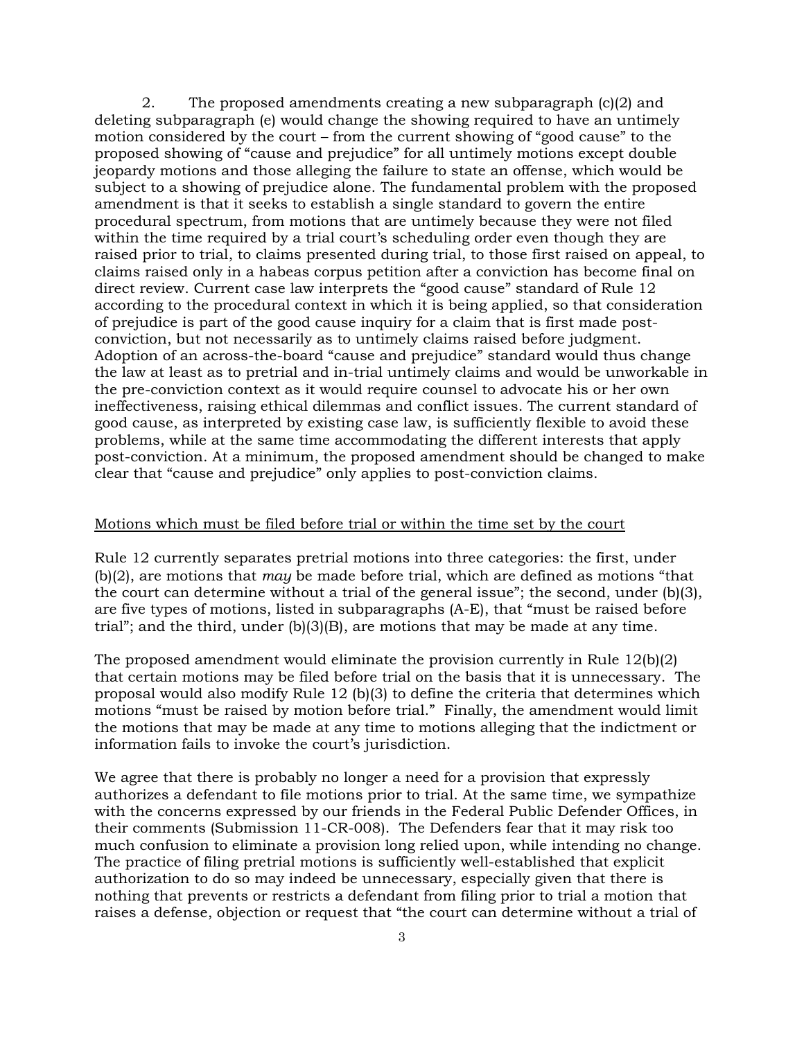2. The proposed amendments creating a new subparagraph (c)(2) and deleting subparagraph (e) would change the showing required to have an untimely motion considered by the court – from the current showing of "good cause" to the proposed showing of "cause and prejudice" for all untimely motions except double jeopardy motions and those alleging the failure to state an offense, which would be subject to a showing of prejudice alone. The fundamental problem with the proposed amendment is that it seeks to establish a single standard to govern the entire procedural spectrum, from motions that are untimely because they were not filed within the time required by a trial court's scheduling order even though they are raised prior to trial, to claims presented during trial, to those first raised on appeal, to claims raised only in a habeas corpus petition after a conviction has become final on direct review. Current case law interprets the "good cause" standard of Rule 12 according to the procedural context in which it is being applied, so that consideration of prejudice is part of the good cause inquiry for a claim that is first made postconviction, but not necessarily as to untimely claims raised before judgment. Adoption of an across-the-board "cause and prejudice" standard would thus change the law at least as to pretrial and in-trial untimely claims and would be unworkable in the pre-conviction context as it would require counsel to advocate his or her own ineffectiveness, raising ethical dilemmas and conflict issues. The current standard of good cause, as interpreted by existing case law, is sufficiently flexible to avoid these problems, while at the same time accommodating the different interests that apply post-conviction. At a minimum, the proposed amendment should be changed to make clear that "cause and prejudice" only applies to post-conviction claims.

# Motions which must be filed before trial or within the time set by the court

Rule 12 currently separates pretrial motions into three categories: the first, under (b)(2), are motions that *may* be made before trial, which are defined as motions "that the court can determine without a trial of the general issue"; the second, under (b)(3), are five types of motions, listed in subparagraphs (A-E), that "must be raised before trial"; and the third, under (b)(3)(B), are motions that may be made at any time.

The proposed amendment would eliminate the provision currently in Rule 12(b)(2) that certain motions may be filed before trial on the basis that it is unnecessary. The proposal would also modify Rule 12 (b)(3) to define the criteria that determines which motions "must be raised by motion before trial." Finally, the amendment would limit the motions that may be made at any time to motions alleging that the indictment or information fails to invoke the court's jurisdiction.

We agree that there is probably no longer a need for a provision that expressly authorizes a defendant to file motions prior to trial. At the same time, we sympathize with the concerns expressed by our friends in the Federal Public Defender Offices, in their comments (Submission 11-CR-008). The Defenders fear that it may risk too much confusion to eliminate a provision long relied upon, while intending no change. The practice of filing pretrial motions is sufficiently well-established that explicit authorization to do so may indeed be unnecessary, especially given that there is nothing that prevents or restricts a defendant from filing prior to trial a motion that raises a defense, objection or request that "the court can determine without a trial of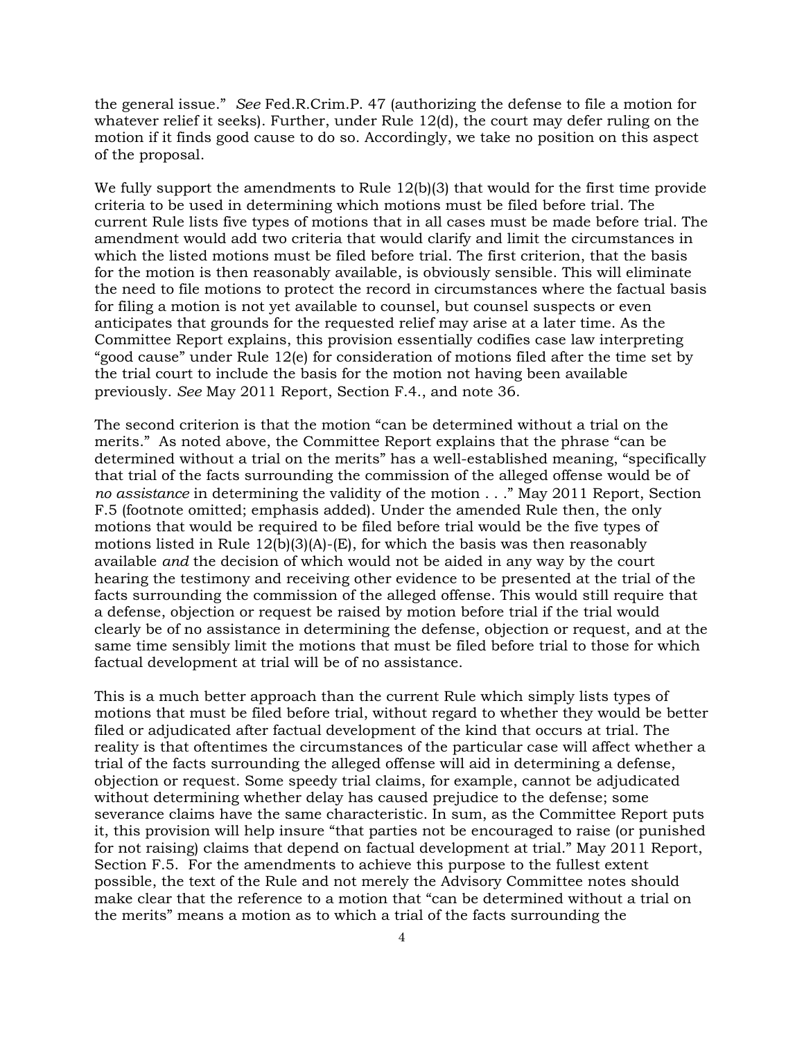the general issue." *See* Fed.R.Crim.P. 47 (authorizing the defense to file a motion for whatever relief it seeks). Further, under Rule 12(d), the court may defer ruling on the motion if it finds good cause to do so. Accordingly, we take no position on this aspect of the proposal.

We fully support the amendments to Rule 12(b)(3) that would for the first time provide criteria to be used in determining which motions must be filed before trial. The current Rule lists five types of motions that in all cases must be made before trial. The amendment would add two criteria that would clarify and limit the circumstances in which the listed motions must be filed before trial. The first criterion, that the basis for the motion is then reasonably available, is obviously sensible. This will eliminate the need to file motions to protect the record in circumstances where the factual basis for filing a motion is not yet available to counsel, but counsel suspects or even anticipates that grounds for the requested relief may arise at a later time. As the Committee Report explains, this provision essentially codifies case law interpreting "good cause" under Rule 12(e) for consideration of motions filed after the time set by the trial court to include the basis for the motion not having been available previously. *See* May 2011 Report, Section F.4., and note 36.

The second criterion is that the motion "can be determined without a trial on the merits." As noted above, the Committee Report explains that the phrase "can be determined without a trial on the merits" has a well-established meaning, "specifically that trial of the facts surrounding the commission of the alleged offense would be of *no assistance* in determining the validity of the motion . . ." May 2011 Report, Section F.5 (footnote omitted; emphasis added). Under the amended Rule then, the only motions that would be required to be filed before trial would be the five types of motions listed in Rule  $12(b)(3)(A)$ -(E), for which the basis was then reasonably available *and* the decision of which would not be aided in any way by the court hearing the testimony and receiving other evidence to be presented at the trial of the facts surrounding the commission of the alleged offense. This would still require that a defense, objection or request be raised by motion before trial if the trial would clearly be of no assistance in determining the defense, objection or request, and at the same time sensibly limit the motions that must be filed before trial to those for which factual development at trial will be of no assistance.

This is a much better approach than the current Rule which simply lists types of motions that must be filed before trial, without regard to whether they would be better filed or adjudicated after factual development of the kind that occurs at trial. The reality is that oftentimes the circumstances of the particular case will affect whether a trial of the facts surrounding the alleged offense will aid in determining a defense, objection or request. Some speedy trial claims, for example, cannot be adjudicated without determining whether delay has caused prejudice to the defense; some severance claims have the same characteristic. In sum, as the Committee Report puts it, this provision will help insure "that parties not be encouraged to raise (or punished for not raising) claims that depend on factual development at trial." May 2011 Report, Section F.5. For the amendments to achieve this purpose to the fullest extent possible, the text of the Rule and not merely the Advisory Committee notes should make clear that the reference to a motion that "can be determined without a trial on the merits" means a motion as to which a trial of the facts surrounding the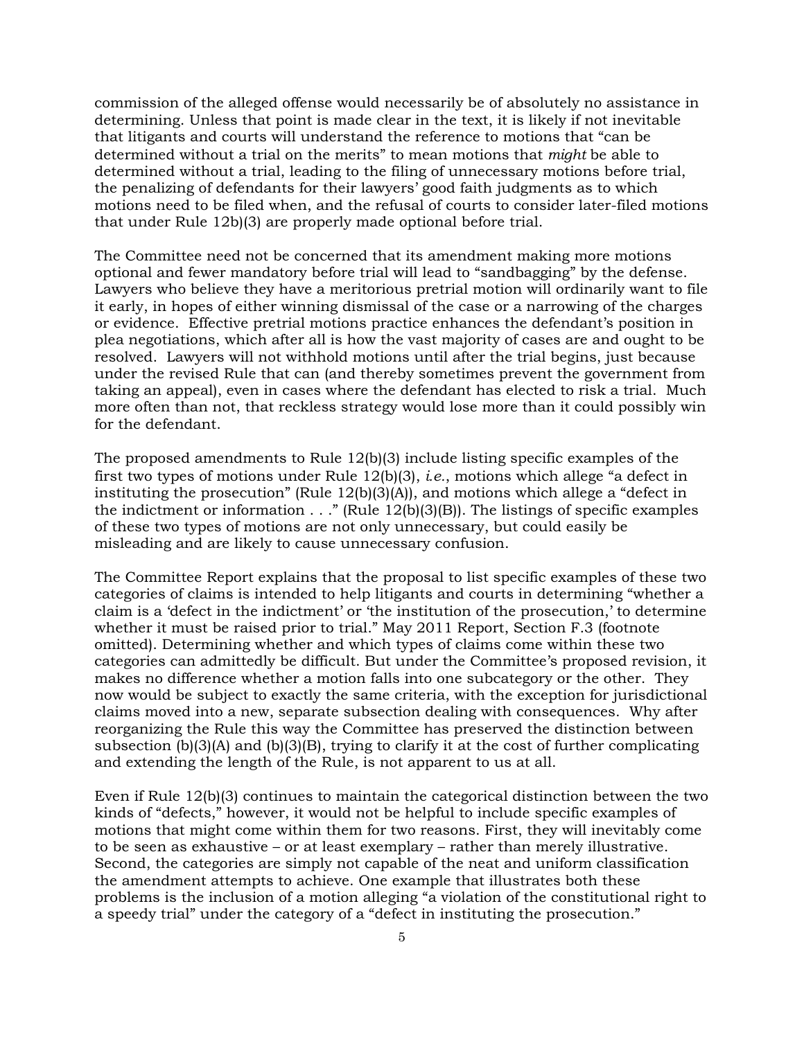commission of the alleged offense would necessarily be of absolutely no assistance in determining. Unless that point is made clear in the text, it is likely if not inevitable that litigants and courts will understand the reference to motions that "can be determined without a trial on the merits" to mean motions that *might* be able to determined without a trial, leading to the filing of unnecessary motions before trial, the penalizing of defendants for their lawyers' good faith judgments as to which motions need to be filed when, and the refusal of courts to consider later-filed motions that under Rule 12b)(3) are properly made optional before trial.

The Committee need not be concerned that its amendment making more motions optional and fewer mandatory before trial will lead to "sandbagging" by the defense. Lawyers who believe they have a meritorious pretrial motion will ordinarily want to file it early, in hopes of either winning dismissal of the case or a narrowing of the charges or evidence. Effective pretrial motions practice enhances the defendant's position in plea negotiations, which after all is how the vast majority of cases are and ought to be resolved. Lawyers will not withhold motions until after the trial begins, just because under the revised Rule that can (and thereby sometimes prevent the government from taking an appeal), even in cases where the defendant has elected to risk a trial. Much more often than not, that reckless strategy would lose more than it could possibly win for the defendant.

The proposed amendments to Rule 12(b)(3) include listing specific examples of the first two types of motions under Rule 12(b)(3), *i.e.*, motions which allege "a defect in instituting the prosecution" (Rule 12(b)(3)(A)), and motions which allege a "defect in the indictment or information  $\ldots$ ." (Rule 12(b)(3)(B)). The listings of specific examples of these two types of motions are not only unnecessary, but could easily be misleading and are likely to cause unnecessary confusion.

The Committee Report explains that the proposal to list specific examples of these two categories of claims is intended to help litigants and courts in determining "whether a claim is a 'defect in the indictment' or 'the institution of the prosecution,' to determine whether it must be raised prior to trial." May 2011 Report, Section F.3 (footnote omitted). Determining whether and which types of claims come within these two categories can admittedly be difficult. But under the Committee's proposed revision, it makes no difference whether a motion falls into one subcategory or the other. They now would be subject to exactly the same criteria, with the exception for jurisdictional claims moved into a new, separate subsection dealing with consequences. Why after reorganizing the Rule this way the Committee has preserved the distinction between subsection  $(b)(3)(A)$  and  $(b)(3)(B)$ , trying to clarify it at the cost of further complicating and extending the length of the Rule, is not apparent to us at all.

Even if Rule 12(b)(3) continues to maintain the categorical distinction between the two kinds of "defects," however, it would not be helpful to include specific examples of motions that might come within them for two reasons. First, they will inevitably come to be seen as exhaustive – or at least exemplary – rather than merely illustrative. Second, the categories are simply not capable of the neat and uniform classification the amendment attempts to achieve. One example that illustrates both these problems is the inclusion of a motion alleging "a violation of the constitutional right to a speedy trial" under the category of a "defect in instituting the prosecution."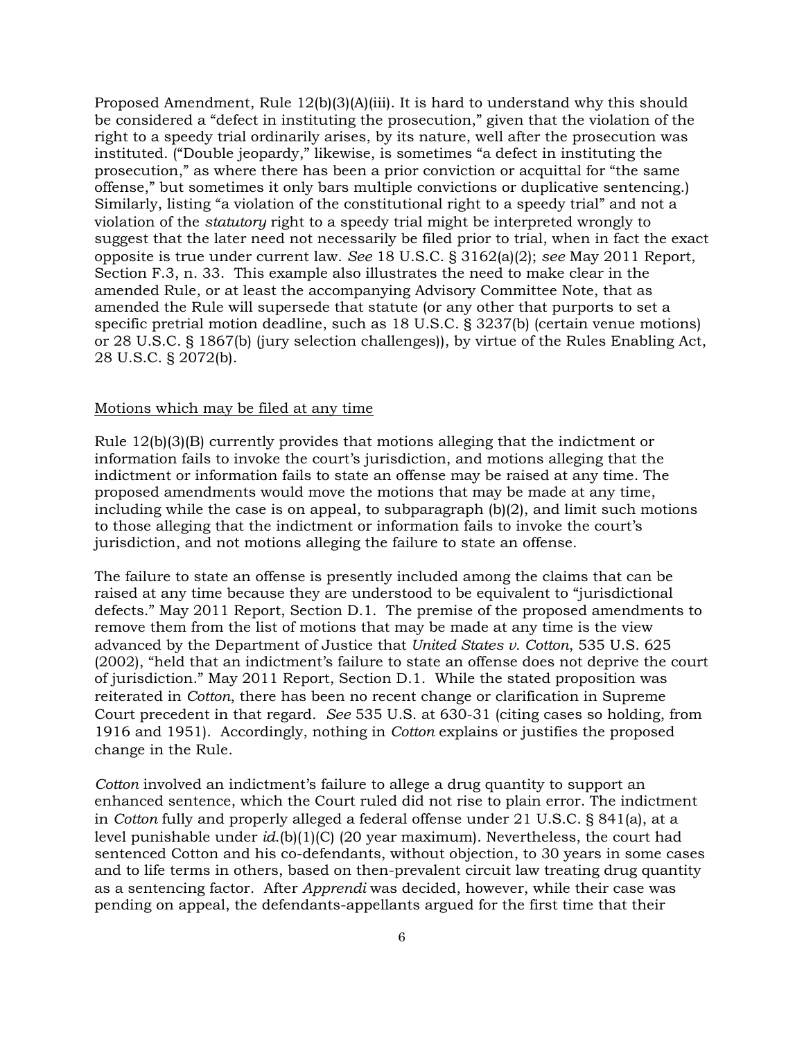Proposed Amendment, Rule 12(b)(3)(A)(iii). It is hard to understand why this should be considered a "defect in instituting the prosecution," given that the violation of the right to a speedy trial ordinarily arises, by its nature, well after the prosecution was instituted. ("Double jeopardy," likewise, is sometimes "a defect in instituting the prosecution," as where there has been a prior conviction or acquittal for "the same offense," but sometimes it only bars multiple convictions or duplicative sentencing.) Similarly, listing "a violation of the constitutional right to a speedy trial" and not a violation of the *statutory* right to a speedy trial might be interpreted wrongly to suggest that the later need not necessarily be filed prior to trial, when in fact the exact opposite is true under current law. *See* 18 U.S.C. § 3162(a)(2); *see* May 2011 Report, Section F.3, n. 33. This example also illustrates the need to make clear in the amended Rule, or at least the accompanying Advisory Committee Note, that as amended the Rule will supersede that statute (or any other that purports to set a specific pretrial motion deadline, such as 18 U.S.C. § 3237(b) (certain venue motions) or 28 U.S.C. § 1867(b) (jury selection challenges)), by virtue of the Rules Enabling Act, 28 U.S.C. § 2072(b).

## Motions which may be filed at any time

Rule 12(b)(3)(B) currently provides that motions alleging that the indictment or information fails to invoke the court's jurisdiction, and motions alleging that the indictment or information fails to state an offense may be raised at any time. The proposed amendments would move the motions that may be made at any time, including while the case is on appeal, to subparagraph (b)(2), and limit such motions to those alleging that the indictment or information fails to invoke the court's jurisdiction, and not motions alleging the failure to state an offense.

The failure to state an offense is presently included among the claims that can be raised at any time because they are understood to be equivalent to "jurisdictional defects." May 2011 Report, Section D.1. The premise of the proposed amendments to remove them from the list of motions that may be made at any time is the view advanced by the Department of Justice that *United States v. Cotton*, 535 U.S. 625 (2002), "held that an indictment's failure to state an offense does not deprive the court of jurisdiction." May 2011 Report, Section D.1. While the stated proposition was reiterated in *Cotton*, there has been no recent change or clarification in Supreme Court precedent in that regard. *See* 535 U.S. at 630-31 (citing cases so holding, from 1916 and 1951). Accordingly, nothing in *Cotton* explains or justifies the proposed change in the Rule*.*

*Cotton* involved an indictment's failure to allege a drug quantity to support an enhanced sentence, which the Court ruled did not rise to plain error. The indictment in *Cotton* fully and properly alleged a federal offense under 21 U.S.C. § 841(a), at a level punishable under *id*.(b)(1)(C) (20 year maximum). Nevertheless, the court had sentenced Cotton and his co-defendants, without objection, to 30 years in some cases and to life terms in others, based on then-prevalent circuit law treating drug quantity as a sentencing factor. After *Apprendi* was decided, however, while their case was pending on appeal, the defendants-appellants argued for the first time that their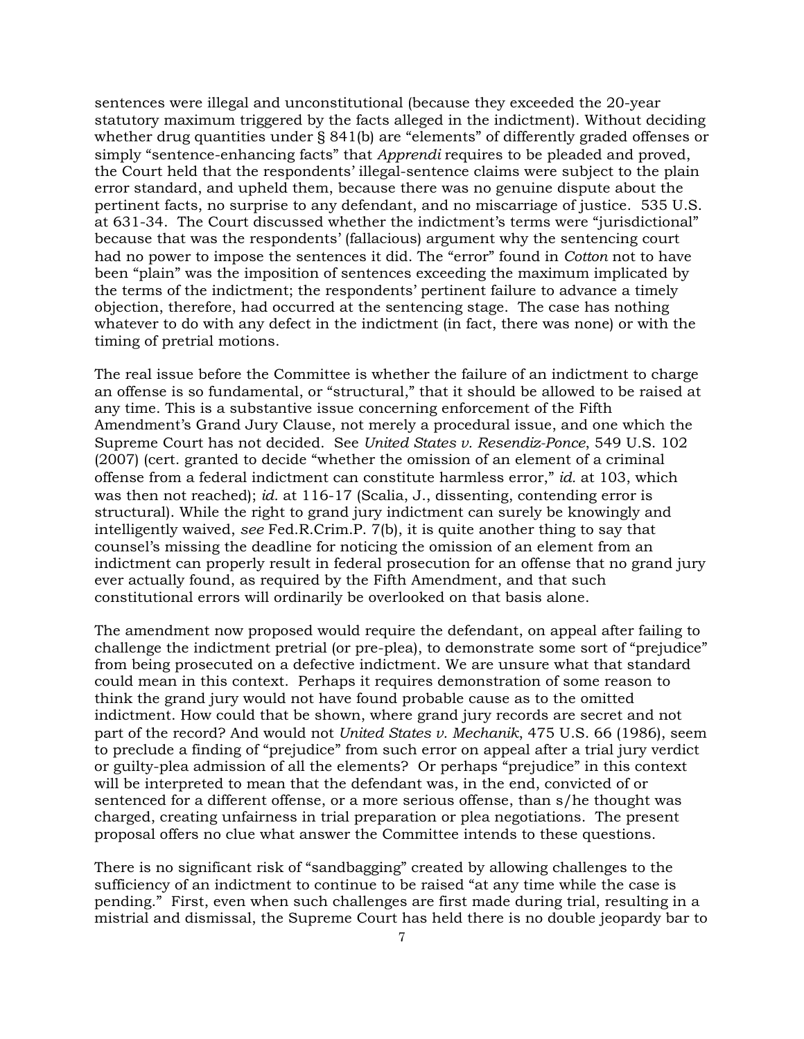sentences were illegal and unconstitutional (because they exceeded the 20-year statutory maximum triggered by the facts alleged in the indictment). Without deciding whether drug quantities under § 841(b) are "elements" of differently graded offenses or simply "sentence-enhancing facts" that *Apprendi* requires to be pleaded and proved, the Court held that the respondents' illegal-sentence claims were subject to the plain error standard, and upheld them, because there was no genuine dispute about the pertinent facts, no surprise to any defendant, and no miscarriage of justice. 535 U.S. at 631-34. The Court discussed whether the indictment's terms were "jurisdictional" because that was the respondents' (fallacious) argument why the sentencing court had no power to impose the sentences it did. The "error" found in *Cotton* not to have been "plain" was the imposition of sentences exceeding the maximum implicated by the terms of the indictment; the respondents' pertinent failure to advance a timely objection, therefore, had occurred at the sentencing stage. The case has nothing whatever to do with any defect in the indictment (in fact, there was none) or with the timing of pretrial motions.

The real issue before the Committee is whether the failure of an indictment to charge an offense is so fundamental, or "structural," that it should be allowed to be raised at any time. This is a substantive issue concerning enforcement of the Fifth Amendment's Grand Jury Clause, not merely a procedural issue, and one which the Supreme Court has not decided. See *United States v. Resendiz-Ponce*, 549 U.S. 102 (2007) (cert. granted to decide "whether the omission of an element of a criminal offense from a federal indictment can constitute harmless error," *id.* at 103, which was then not reached); *id.* at 116-17 (Scalia, J., dissenting, contending error is structural). While the right to grand jury indictment can surely be knowingly and intelligently waived, *see* Fed.R.Crim.P. 7(b), it is quite another thing to say that counsel's missing the deadline for noticing the omission of an element from an indictment can properly result in federal prosecution for an offense that no grand jury ever actually found, as required by the Fifth Amendment, and that such constitutional errors will ordinarily be overlooked on that basis alone.

The amendment now proposed would require the defendant, on appeal after failing to challenge the indictment pretrial (or pre-plea), to demonstrate some sort of "prejudice" from being prosecuted on a defective indictment. We are unsure what that standard could mean in this context. Perhaps it requires demonstration of some reason to think the grand jury would not have found probable cause as to the omitted indictment. How could that be shown, where grand jury records are secret and not part of the record? And would not *United States v. Mechanik*, 475 U.S. 66 (1986), seem to preclude a finding of "prejudice" from such error on appeal after a trial jury verdict or guilty-plea admission of all the elements? Or perhaps "prejudice" in this context will be interpreted to mean that the defendant was, in the end, convicted of or sentenced for a different offense, or a more serious offense, than s/he thought was charged, creating unfairness in trial preparation or plea negotiations. The present proposal offers no clue what answer the Committee intends to these questions.

There is no significant risk of "sandbagging" created by allowing challenges to the sufficiency of an indictment to continue to be raised "at any time while the case is pending." First, even when such challenges are first made during trial, resulting in a mistrial and dismissal, the Supreme Court has held there is no double jeopardy bar to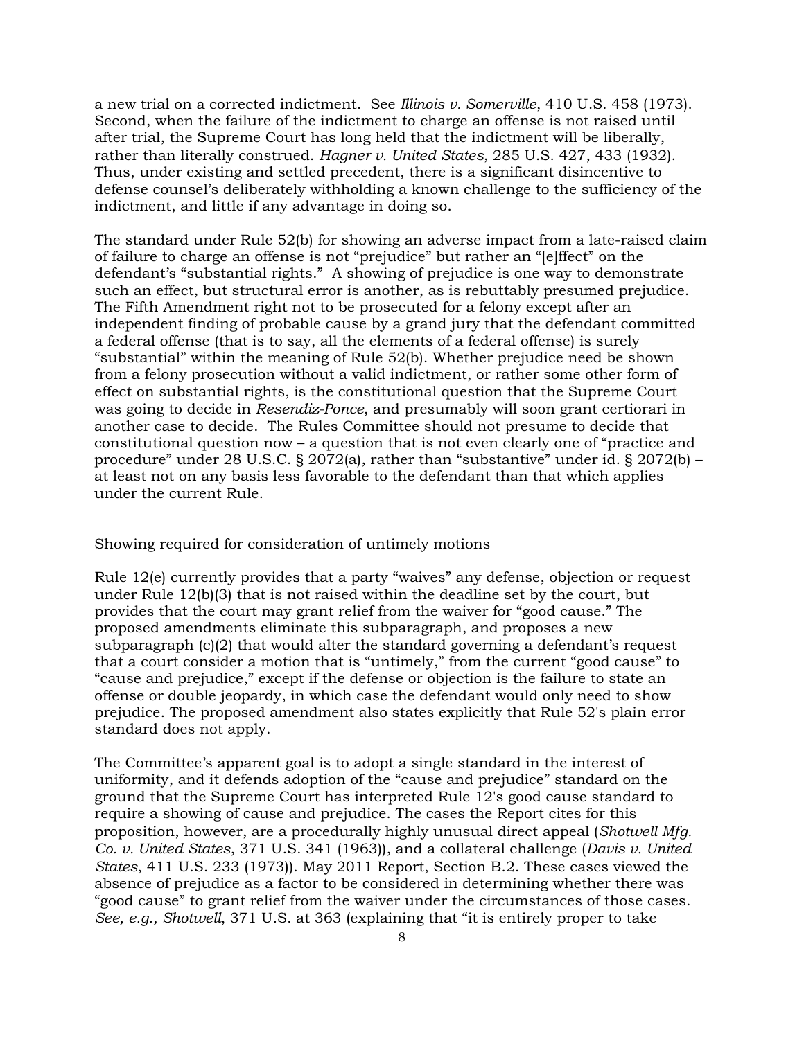a new trial on a corrected indictment. See *Illinois v. Somerville*, 410 U.S. 458 (1973). Second, when the failure of the indictment to charge an offense is not raised until after trial, the Supreme Court has long held that the indictment will be liberally, rather than literally construed. *Hagner v. United States*, 285 U.S. 427, 433 (1932). Thus, under existing and settled precedent, there is a significant disincentive to defense counsel's deliberately withholding a known challenge to the sufficiency of the indictment, and little if any advantage in doing so.

The standard under Rule 52(b) for showing an adverse impact from a late-raised claim of failure to charge an offense is not "prejudice" but rather an "[e]ffect" on the defendant's "substantial rights." A showing of prejudice is one way to demonstrate such an effect, but structural error is another, as is rebuttably presumed prejudice. The Fifth Amendment right not to be prosecuted for a felony except after an independent finding of probable cause by a grand jury that the defendant committed a federal offense (that is to say, all the elements of a federal offense) is surely "substantial" within the meaning of Rule 52(b). Whether prejudice need be shown from a felony prosecution without a valid indictment, or rather some other form of effect on substantial rights, is the constitutional question that the Supreme Court was going to decide in *Resendiz-Ponce*, and presumably will soon grant certiorari in another case to decide. The Rules Committee should not presume to decide that constitutional question now – a question that is not even clearly one of "practice and procedure" under 28 U.S.C. § 2072(a), rather than "substantive" under id. § 2072(b) – at least not on any basis less favorable to the defendant than that which applies under the current Rule.

### Showing required for consideration of untimely motions

Rule 12(e) currently provides that a party "waives" any defense, objection or request under Rule 12(b)(3) that is not raised within the deadline set by the court, but provides that the court may grant relief from the waiver for "good cause." The proposed amendments eliminate this subparagraph, and proposes a new subparagraph  $(c)(2)$  that would alter the standard governing a defendant's request that a court consider a motion that is "untimely," from the current "good cause" to "cause and prejudice," except if the defense or objection is the failure to state an offense or double jeopardy, in which case the defendant would only need to show prejudice. The proposed amendment also states explicitly that Rule 52's plain error standard does not apply.

The Committee's apparent goal is to adopt a single standard in the interest of uniformity, and it defends adoption of the "cause and prejudice" standard on the ground that the Supreme Court has interpreted Rule 12's good cause standard to require a showing of cause and prejudice. The cases the Report cites for this proposition, however, are a procedurally highly unusual direct appeal (*Shotwell Mfg. Co. v. United States*, 371 U.S. 341 (1963)), and a collateral challenge (*Davis v. United States*, 411 U.S. 233 (1973)). May 2011 Report, Section B.2. These cases viewed the absence of prejudice as a factor to be considered in determining whether there was "good cause" to grant relief from the waiver under the circumstances of those cases. *See, e.g., Shotwell*, 371 U.S. at 363 (explaining that "it is entirely proper to take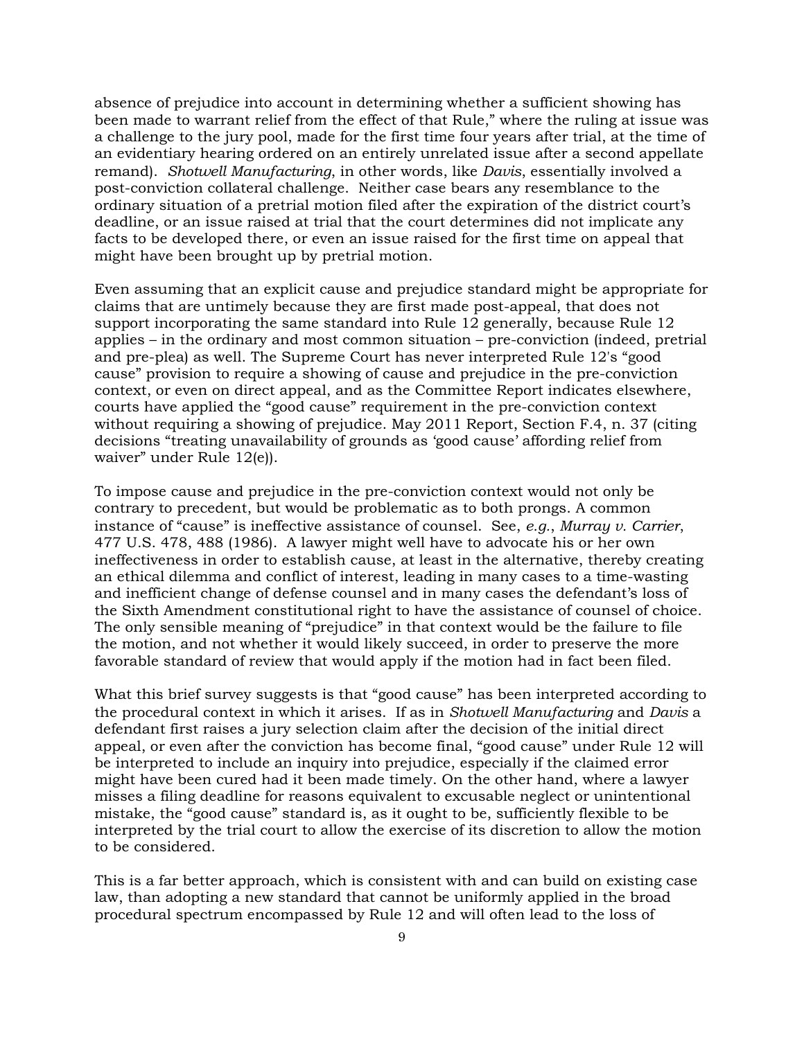absence of prejudice into account in determining whether a sufficient showing has been made to warrant relief from the effect of that Rule," where the ruling at issue was a challenge to the jury pool, made for the first time four years after trial, at the time of an evidentiary hearing ordered on an entirely unrelated issue after a second appellate remand). *Shotwell Manufacturing*, in other words, like *Davis*, essentially involved a post-conviction collateral challenge. Neither case bears any resemblance to the ordinary situation of a pretrial motion filed after the expiration of the district court's deadline, or an issue raised at trial that the court determines did not implicate any facts to be developed there, or even an issue raised for the first time on appeal that might have been brought up by pretrial motion.

Even assuming that an explicit cause and prejudice standard might be appropriate for claims that are untimely because they are first made post-appeal, that does not support incorporating the same standard into Rule 12 generally, because Rule 12 applies – in the ordinary and most common situation – pre-conviction (indeed, pretrial and pre-plea) as well. The Supreme Court has never interpreted Rule 12's "good cause" provision to require a showing of cause and prejudice in the pre-conviction context, or even on direct appeal, and as the Committee Report indicates elsewhere, courts have applied the "good cause" requirement in the pre-conviction context without requiring a showing of prejudice. May 2011 Report, Section F.4, n. 37 (citing decisions "treating unavailability of grounds as 'good cause' affording relief from waiver" under Rule 12(e)).

To impose cause and prejudice in the pre-conviction context would not only be contrary to precedent, but would be problematic as to both prongs. A common instance of "cause" is ineffective assistance of counsel. See, *e.g.*, *Murray v. Carrier*, 477 U.S. 478, 488 (1986). A lawyer might well have to advocate his or her own ineffectiveness in order to establish cause, at least in the alternative, thereby creating an ethical dilemma and conflict of interest, leading in many cases to a time-wasting and inefficient change of defense counsel and in many cases the defendant's loss of the Sixth Amendment constitutional right to have the assistance of counsel of choice. The only sensible meaning of "prejudice" in that context would be the failure to file the motion, and not whether it would likely succeed, in order to preserve the more favorable standard of review that would apply if the motion had in fact been filed.

What this brief survey suggests is that "good cause" has been interpreted according to the procedural context in which it arises. If as in *Shotwell Manufacturing* and *Davis* a defendant first raises a jury selection claim after the decision of the initial direct appeal, or even after the conviction has become final, "good cause" under Rule 12 will be interpreted to include an inquiry into prejudice, especially if the claimed error might have been cured had it been made timely. On the other hand, where a lawyer misses a filing deadline for reasons equivalent to excusable neglect or unintentional mistake, the "good cause" standard is, as it ought to be, sufficiently flexible to be interpreted by the trial court to allow the exercise of its discretion to allow the motion to be considered.

This is a far better approach, which is consistent with and can build on existing case law, than adopting a new standard that cannot be uniformly applied in the broad procedural spectrum encompassed by Rule 12 and will often lead to the loss of